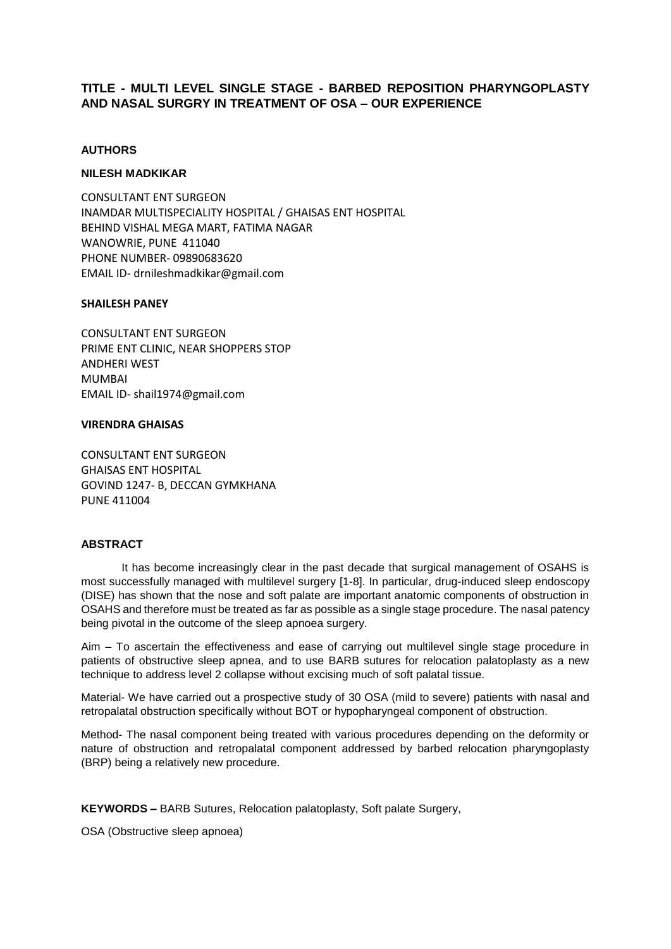# **TITLE - MULTI LEVEL SINGLE STAGE - BARBED REPOSITION PHARYNGOPLASTY AND NASAL SURGRY IN TREATMENT OF OSA – OUR EXPERIENCE**

## **AUTHORS**

#### **NILESH MADKIKAR**

CONSULTANT ENT SURGEON INAMDAR MULTISPECIALITY HOSPITAL / GHAISAS ENT HOSPITAL BEHIND VISHAL MEGA MART, FATIMA NAGAR WANOWRIE, PUNE 411040 PHONE NUMBER- 09890683620 EMAIL ID- drnileshmadkikar@gmail.com

## **SHAILESH PANEY**

CONSULTANT ENT SURGEON PRIME ENT CLINIC, NEAR SHOPPERS STOP ANDHERI WEST MUMBAI EMAIL ID- shail1974@gmail.com

#### **VIRENDRA GHAISAS**

CONSULTANT ENT SURGEON GHAISAS ENT HOSPITAL GOVIND 1247- B, DECCAN GYMKHANA PUNE 411004

## **ABSTRACT**

It has become increasingly clear in the past decade that surgical management of OSAHS is most successfully managed with multilevel surgery [1-8]. In particular, drug-induced sleep endoscopy (DISE) has shown that the nose and soft palate are important anatomic components of obstruction in OSAHS and therefore must be treated as far as possible as a single stage procedure. The nasal patency being pivotal in the outcome of the sleep apnoea surgery.

Aim – To ascertain the effectiveness and ease of carrying out multilevel single stage procedure in patients of obstructive sleep apnea, and to use BARB sutures for relocation palatoplasty as a new technique to address level 2 collapse without excising much of soft palatal tissue.

Material- We have carried out a prospective study of 30 OSA (mild to severe) patients with nasal and retropalatal obstruction specifically without BOT or hypopharyngeal component of obstruction.

Method- The nasal component being treated with various procedures depending on the deformity or nature of obstruction and retropalatal component addressed by barbed relocation pharyngoplasty (BRP) being a relatively new procedure.

**KEYWORDS –** BARB Sutures, Relocation palatoplasty, Soft palate Surgery,

OSA (Obstructive sleep apnoea)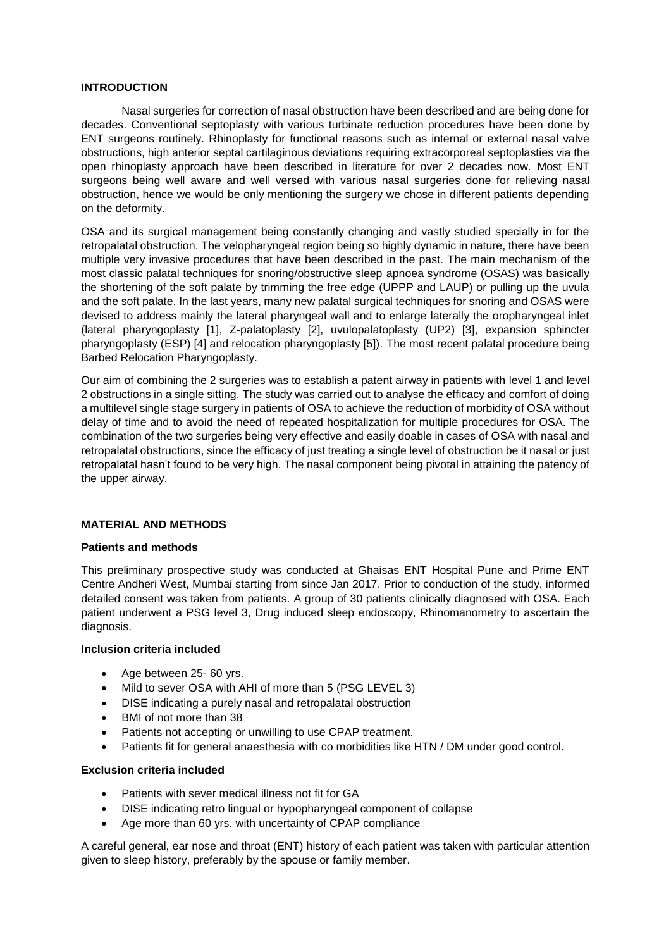## **INTRODUCTION**

Nasal surgeries for correction of nasal obstruction have been described and are being done for decades. Conventional septoplasty with various turbinate reduction procedures have been done by ENT surgeons routinely. Rhinoplasty for functional reasons such as internal or external nasal valve obstructions, high anterior septal cartilaginous deviations requiring extracorporeal septoplasties via the open rhinoplasty approach have been described in literature for over 2 decades now. Most ENT surgeons being well aware and well versed with various nasal surgeries done for relieving nasal obstruction, hence we would be only mentioning the surgery we chose in different patients depending on the deformity.

OSA and its surgical management being constantly changing and vastly studied specially in for the retropalatal obstruction. The velopharyngeal region being so highly dynamic in nature, there have been multiple very invasive procedures that have been described in the past. The main mechanism of the most classic palatal techniques for snoring/obstructive sleep apnoea syndrome (OSAS) was basically the shortening of the soft palate by trimming the free edge (UPPP and LAUP) or pulling up the uvula and the soft palate. In the last years, many new palatal surgical techniques for snoring and OSAS were devised to address mainly the lateral pharyngeal wall and to enlarge laterally the oropharyngeal inlet (lateral pharyngoplasty [1], Z-palatoplasty [2], uvulopalatoplasty (UP2) [3], expansion sphincter pharyngoplasty (ESP) [4] and relocation pharyngoplasty [5]). The most recent palatal procedure being Barbed Relocation Pharyngoplasty.

Our aim of combining the 2 surgeries was to establish a patent airway in patients with level 1 and level 2 obstructions in a single sitting. The study was carried out to analyse the efficacy and comfort of doing a multilevel single stage surgery in patients of OSA to achieve the reduction of morbidity of OSA without delay of time and to avoid the need of repeated hospitalization for multiple procedures for OSA. The combination of the two surgeries being very effective and easily doable in cases of OSA with nasal and retropalatal obstructions, since the efficacy of just treating a single level of obstruction be it nasal or just retropalatal hasn't found to be very high. The nasal component being pivotal in attaining the patency of the upper airway.

## **MATERIAL AND METHODS**

#### **Patients and methods**

This preliminary prospective study was conducted at Ghaisas ENT Hospital Pune and Prime ENT Centre Andheri West, Mumbai starting from since Jan 2017. Prior to conduction of the study, informed detailed consent was taken from patients. A group of 30 patients clinically diagnosed with OSA. Each patient underwent a PSG level 3, Drug induced sleep endoscopy, Rhinomanometry to ascertain the diagnosis.

## **Inclusion criteria included**

- Age between 25- 60 yrs.
- Mild to sever OSA with AHI of more than 5 (PSG LEVEL 3)
- DISE indicating a purely nasal and retropalatal obstruction
- BMI of not more than 38
- Patients not accepting or unwilling to use CPAP treatment.
- Patients fit for general anaesthesia with co morbidities like HTN / DM under good control.

## **Exclusion criteria included**

- Patients with sever medical illness not fit for GA
- DISE indicating retro lingual or hypopharyngeal component of collapse
- Age more than 60 yrs. with uncertainty of CPAP compliance

A careful general, ear nose and throat (ENT) history of each patient was taken with particular attention given to sleep history, preferably by the spouse or family member.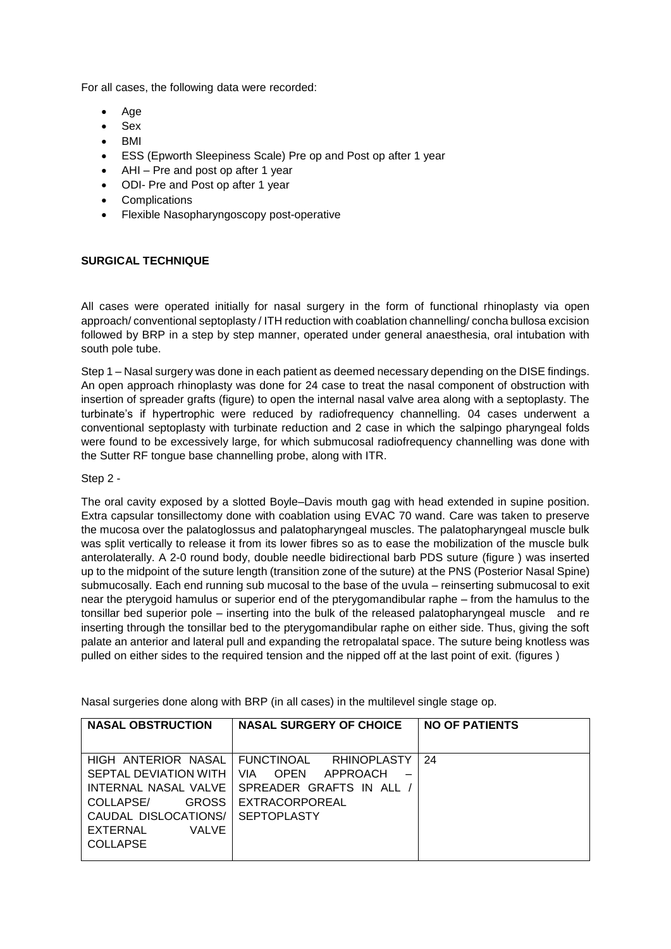For all cases, the following data were recorded:

- Age
- Sex
- $\bullet$  BMI
- ESS (Epworth Sleepiness Scale) Pre op and Post op after 1 year
- AHI Pre and post op after 1 year
- ODI- Pre and Post op after 1 year
- **Complications**
- Flexible Nasopharyngoscopy post-operative

## **SURGICAL TECHNIQUE**

All cases were operated initially for nasal surgery in the form of functional rhinoplasty via open approach/ conventional septoplasty / ITH reduction with coablation channelling/ concha bullosa excision followed by BRP in a step by step manner, operated under general anaesthesia, oral intubation with south pole tube.

Step 1 – Nasal surgery was done in each patient as deemed necessary depending on the DISE findings. An open approach rhinoplasty was done for 24 case to treat the nasal component of obstruction with insertion of spreader grafts (figure) to open the internal nasal valve area along with a septoplasty. The turbinate's if hypertrophic were reduced by radiofrequency channelling. 04 cases underwent a conventional septoplasty with turbinate reduction and 2 case in which the salpingo pharyngeal folds were found to be excessively large, for which submucosal radiofrequency channelling was done with the Sutter RF tongue base channelling probe, along with ITR.

#### Step 2 -

The oral cavity exposed by a slotted Boyle–Davis mouth gag with head extended in supine position. Extra capsular tonsillectomy done with coablation using EVAC 70 wand. Care was taken to preserve the mucosa over the palatoglossus and palatopharyngeal muscles. The palatopharyngeal muscle bulk was split vertically to release it from its lower fibres so as to ease the mobilization of the muscle bulk anterolaterally. A 2-0 round body, double needle bidirectional barb PDS suture (figure ) was inserted up to the midpoint of the suture length (transition zone of the suture) at the PNS (Posterior Nasal Spine) submucosally. Each end running sub mucosal to the base of the uvula – reinserting submucosal to exit near the pterygoid hamulus or superior end of the pterygomandibular raphe – from the hamulus to the tonsillar bed superior pole – inserting into the bulk of the released palatopharyngeal muscle and re inserting through the tonsillar bed to the pterygomandibular raphe on either side. Thus, giving the soft palate an anterior and lateral pull and expanding the retropalatal space. The suture being knotless was pulled on either sides to the required tension and the nipped off at the last point of exit. (figures )

Nasal surgeries done along with BRP (in all cases) in the multilevel single stage op.

| <b>NASAL OBSTRUCTION</b>       | <b>NASAL SURGERY OF CHOICE</b>  | <b>NO OF PATIENTS</b> |
|--------------------------------|---------------------------------|-----------------------|
|                                |                                 |                       |
| HIGH ANTERIOR NASAL FUNCTINOAL | <b>RHINOPLASTY</b>              | 24                    |
| SEPTAL DEVIATION WITH          | VIA.<br><b>OPEN</b><br>APPROACH |                       |
| INTERNAL NASAL VALVE I         | SPREADER GRAFTS IN ALL /        |                       |
| <b>GROSS</b><br>COLLAPSE/      | EXTRACORPOREAL                  |                       |
| CAUDAL DISLOCATIONS/           | <b>SEPTOPLASTY</b>              |                       |
| EXTERNAL<br>VAI VF             |                                 |                       |
| <b>COLLAPSE</b>                |                                 |                       |
|                                |                                 |                       |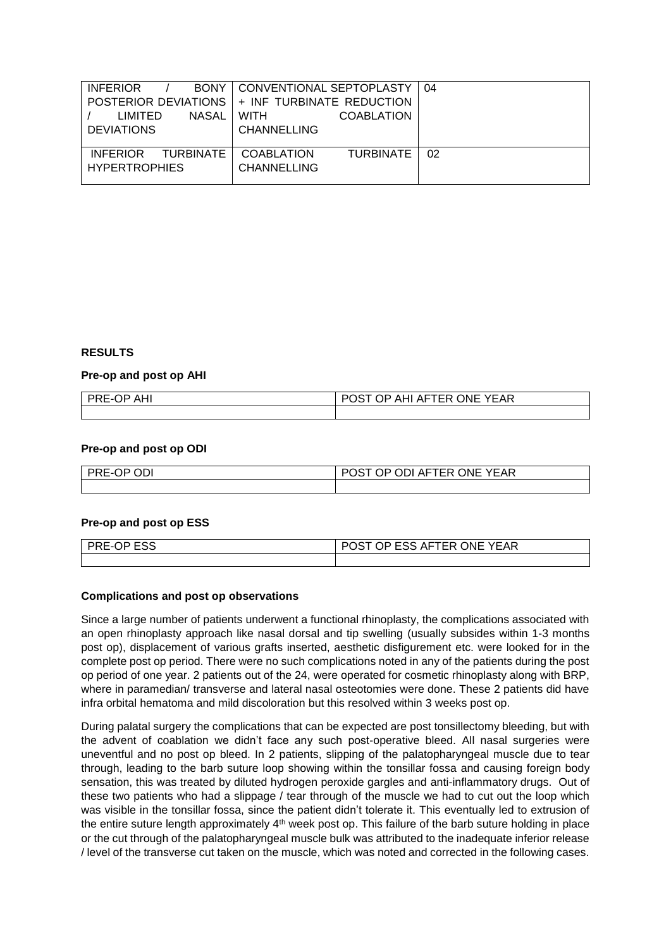| <b>INFERIOR</b><br>BONY<br>POSTERIOR DEVIATIONS<br><b>NASAL</b><br><b>LIMITED</b><br><b>DEVIATIONS</b> | CONVENTIONAL SEPTOPLASTY<br>+ INF TURBINATE REDUCTION<br>WITH<br><b>COABLATION</b><br>CHANNELLING | 04 |
|--------------------------------------------------------------------------------------------------------|---------------------------------------------------------------------------------------------------|----|
| TURBINATE<br><b>INFERIOR</b><br><b>HYPERTROPHIES</b>                                                   | COABLATION<br><b>TURBINATE</b><br>CHANNELLING                                                     | 02 |

## **RESULTS**

#### **Pre-op and post op AHI**

| AHI    | OP AHI AFTER ONE YEAR |
|--------|-----------------------|
| PRE-OP | <b>DOST</b>           |
|        |                       |

#### **Pre-op and post op ODI**

| PRE-OP ODI | I AFTER ONE YEAR<br>OP ODI |
|------------|----------------------------|
|            |                            |

#### **Pre-op and post op ESS**

| <b>PRE-OP ESS</b> | POST OP ESS AFTER ONE YEAR |
|-------------------|----------------------------|
|                   |                            |

#### **Complications and post op observations**

Since a large number of patients underwent a functional rhinoplasty, the complications associated with an open rhinoplasty approach like nasal dorsal and tip swelling (usually subsides within 1-3 months post op), displacement of various grafts inserted, aesthetic disfigurement etc. were looked for in the complete post op period. There were no such complications noted in any of the patients during the post op period of one year. 2 patients out of the 24, were operated for cosmetic rhinoplasty along with BRP, where in paramedian/ transverse and lateral nasal osteotomies were done. These 2 patients did have infra orbital hematoma and mild discoloration but this resolved within 3 weeks post op.

During palatal surgery the complications that can be expected are post tonsillectomy bleeding, but with the advent of coablation we didn't face any such post-operative bleed. All nasal surgeries were uneventful and no post op bleed. In 2 patients, slipping of the palatopharyngeal muscle due to tear through, leading to the barb suture loop showing within the tonsillar fossa and causing foreign body sensation, this was treated by diluted hydrogen peroxide gargles and anti-inflammatory drugs. Out of these two patients who had a slippage / tear through of the muscle we had to cut out the loop which was visible in the tonsillar fossa, since the patient didn't tolerate it. This eventually led to extrusion of the entire suture length approximately 4<sup>th</sup> week post op. This failure of the barb suture holding in place or the cut through of the palatopharyngeal muscle bulk was attributed to the inadequate inferior release / level of the transverse cut taken on the muscle, which was noted and corrected in the following cases.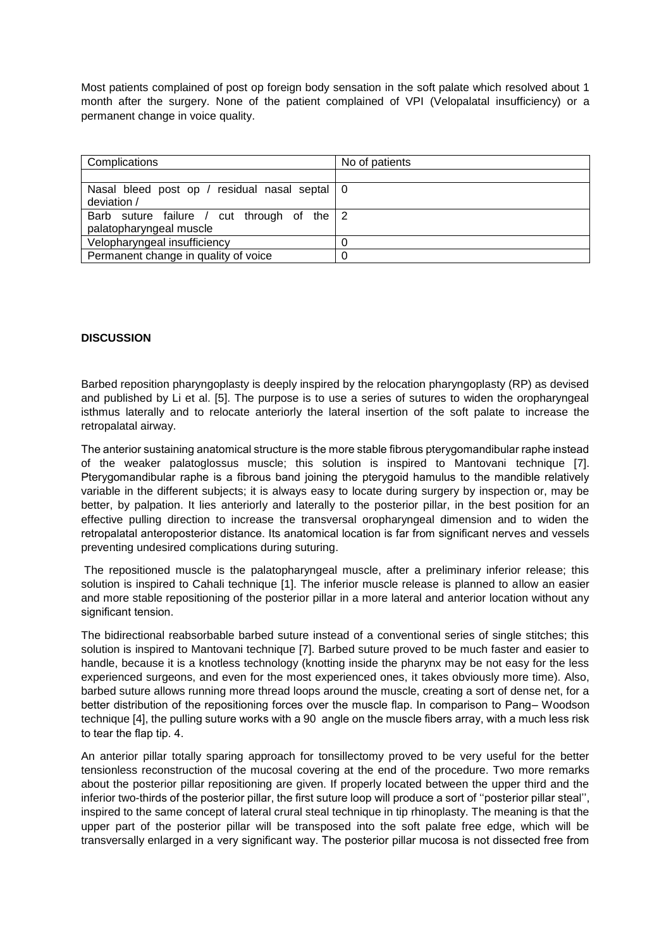Most patients complained of post op foreign body sensation in the soft palate which resolved about 1 month after the surgery. None of the patient complained of VPI (Velopalatal insufficiency) or a permanent change in voice quality.

| Complications                                   | No of patients |
|-------------------------------------------------|----------------|
|                                                 |                |
| Nasal bleed post op / residual nasal septal   0 |                |
| deviation /                                     |                |
| Barb suture failure / cut through of the $2$    |                |
| palatopharyngeal muscle                         |                |
| Velopharyngeal insufficiency                    | 0              |
| Permanent change in quality of voice            | $\Omega$       |

## **DISCUSSION**

Barbed reposition pharyngoplasty is deeply inspired by the relocation pharyngoplasty (RP) as devised and published by Li et al. [5]. The purpose is to use a series of sutures to widen the oropharyngeal isthmus laterally and to relocate anteriorly the lateral insertion of the soft palate to increase the retropalatal airway.

The anterior sustaining anatomical structure is the more stable fibrous pterygomandibular raphe instead of the weaker palatoglossus muscle; this solution is inspired to Mantovani technique [7]. Pterygomandibular raphe is a fibrous band joining the pterygoid hamulus to the mandible relatively variable in the different subjects; it is always easy to locate during surgery by inspection or, may be better, by palpation. It lies anteriorly and laterally to the posterior pillar, in the best position for an effective pulling direction to increase the transversal oropharyngeal dimension and to widen the retropalatal anteroposterior distance. Its anatomical location is far from significant nerves and vessels preventing undesired complications during suturing.

The repositioned muscle is the palatopharyngeal muscle, after a preliminary inferior release; this solution is inspired to Cahali technique [1]. The inferior muscle release is planned to allow an easier and more stable repositioning of the posterior pillar in a more lateral and anterior location without any significant tension.

The bidirectional reabsorbable barbed suture instead of a conventional series of single stitches; this solution is inspired to Mantovani technique [7]. Barbed suture proved to be much faster and easier to handle, because it is a knotless technology (knotting inside the pharynx may be not easy for the less experienced surgeons, and even for the most experienced ones, it takes obviously more time). Also, barbed suture allows running more thread loops around the muscle, creating a sort of dense net, for a better distribution of the repositioning forces over the muscle flap. In comparison to Pang– Woodson technique [4], the pulling suture works with a 90 angle on the muscle fibers array, with a much less risk to tear the flap tip. 4.

An anterior pillar totally sparing approach for tonsillectomy proved to be very useful for the better tensionless reconstruction of the mucosal covering at the end of the procedure. Two more remarks about the posterior pillar repositioning are given. If properly located between the upper third and the inferior two-thirds of the posterior pillar, the first suture loop will produce a sort of ''posterior pillar steal'', inspired to the same concept of lateral crural steal technique in tip rhinoplasty. The meaning is that the upper part of the posterior pillar will be transposed into the soft palate free edge, which will be transversally enlarged in a very significant way. The posterior pillar mucosa is not dissected free from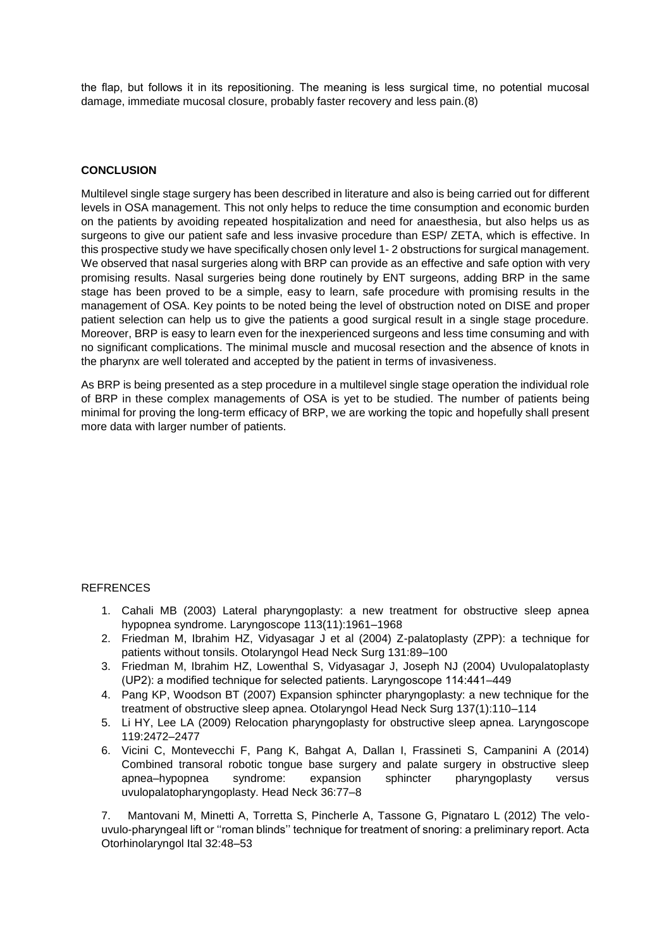the flap, but follows it in its repositioning. The meaning is less surgical time, no potential mucosal damage, immediate mucosal closure, probably faster recovery and less pain.(8)

## **CONCLUSION**

Multilevel single stage surgery has been described in literature and also is being carried out for different levels in OSA management. This not only helps to reduce the time consumption and economic burden on the patients by avoiding repeated hospitalization and need for anaesthesia, but also helps us as surgeons to give our patient safe and less invasive procedure than ESP/ ZETA, which is effective. In this prospective study we have specifically chosen only level 1- 2 obstructions for surgical management. We observed that nasal surgeries along with BRP can provide as an effective and safe option with very promising results. Nasal surgeries being done routinely by ENT surgeons, adding BRP in the same stage has been proved to be a simple, easy to learn, safe procedure with promising results in the management of OSA. Key points to be noted being the level of obstruction noted on DISE and proper patient selection can help us to give the patients a good surgical result in a single stage procedure. Moreover, BRP is easy to learn even for the inexperienced surgeons and less time consuming and with no significant complications. The minimal muscle and mucosal resection and the absence of knots in the pharynx are well tolerated and accepted by the patient in terms of invasiveness.

As BRP is being presented as a step procedure in a multilevel single stage operation the individual role of BRP in these complex managements of OSA is yet to be studied. The number of patients being minimal for proving the long-term efficacy of BRP, we are working the topic and hopefully shall present more data with larger number of patients.

## **REFRENCES**

- 1. Cahali MB (2003) Lateral pharyngoplasty: a new treatment for obstructive sleep apnea hypopnea syndrome. Laryngoscope 113(11):1961–1968
- 2. Friedman M, Ibrahim HZ, Vidyasagar J et al (2004) Z-palatoplasty (ZPP): a technique for patients without tonsils. Otolaryngol Head Neck Surg 131:89–100
- 3. Friedman M, Ibrahim HZ, Lowenthal S, Vidyasagar J, Joseph NJ (2004) Uvulopalatoplasty (UP2): a modified technique for selected patients. Laryngoscope 114:441–449
- 4. Pang KP, Woodson BT (2007) Expansion sphincter pharyngoplasty: a new technique for the treatment of obstructive sleep apnea. Otolaryngol Head Neck Surg 137(1):110–114
- 5. Li HY, Lee LA (2009) Relocation pharyngoplasty for obstructive sleep apnea. Laryngoscope 119:2472–2477
- 6. Vicini C, Montevecchi F, Pang K, Bahgat A, Dallan I, Frassineti S, Campanini A (2014) Combined transoral robotic tongue base surgery and palate surgery in obstructive sleep apnea–hypopnea syndrome: expansion sphincter pharyngoplasty versus uvulopalatopharyngoplasty. Head Neck 36:77–8

7. Mantovani M, Minetti A, Torretta S, Pincherle A, Tassone G, Pignataro L (2012) The velouvulo-pharyngeal lift or ''roman blinds'' technique for treatment of snoring: a preliminary report. Acta Otorhinolaryngol Ital 32:48–53